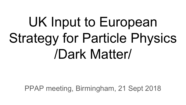## UK Input to European Strategy for Particle Physics /Dark Matter/

PPAP meeting, Birmingham, 21 Sept 2018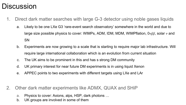## **Discussion**

- 1. Direct dark matter searches with large G-3 detector using noble gases liquids
	- a. Likely to be one LXe G3 'rare-event search observatory' somewhere in the world and due to large size possible physics to cover: WIMPs, ADM, IDM, MDM, WIMPflation,  $0\nu\beta\beta$ , solar  $\nu$  and SN
	- b. Experiments are now growing to a scale that is starting to require major lab infrastructure. Will require large international collaboration which is an evolution from current situation
	- c. The UK aims to be prominent in this and has s strong DM community
	- d. UK primary interest for near future DM experiments is in using liquid Xenon
	- e. APPEC points to two experiments with different targets using LXe and LAr
- 2. Other dark matter experiments like ADMX, QUAX and SHiP
	- a. Physics to cover: Axions, alps, HSP, dark photons …
	- b. UK groups are involved in some of them